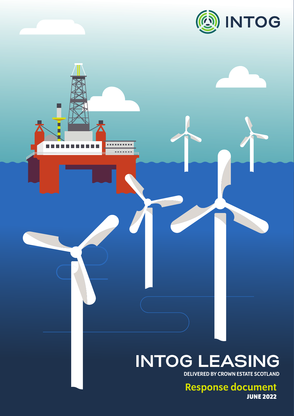

г

H п

n Ei

. . . . . . . . . .

*<u>BARBARA</u>* 

# **INTOG LEASING**

DELIVERED BY CROWN ESTATE SCOTLAND

Response document **JUNE 2022**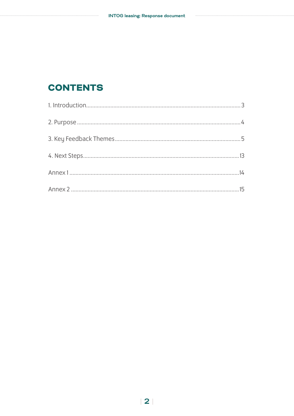# **CONTENTS**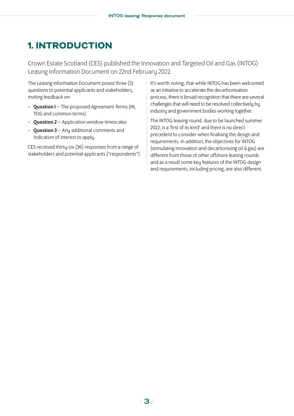# <span id="page-2-0"></span>1. INTRODUCTION

Crown Estate Scotland (CES) published the Innovation and Targeted Oil and Gas (INTOG) Leasing Information Document on 22nd February 2022.

The Leasing Information Document posed three (3) questions to potential applicants and stakeholders, inviting feedback on:

- Question 1 The proposed Agreement Terms (IN, TOG and common terms)
- Question 2 Application window timescales
- Question 3 Any additional comments and indication of interest to apply.

CES received thirty-six (36) responses from a range of stakeholders and potential applicants ("respondents"). It's worth noting, that while INTOG has been welcomed as an initiative to accelerate the decarbonisation process, there is broad recognition that there are several challenges that will need to be resolved collectively by industry and government bodies working together.

The INTOG leasing round, due to be launched summer 2022, is a 'first of its kind' and there is no direct precedent to consider when finalising the design and requirements. In addition, the objectives for INTOG (stimulating innovation and decarbonising oil & gas) are different from those of other offshore leasing rounds and as a result some key features of the INTOG design and requirements, including pricing, are also different.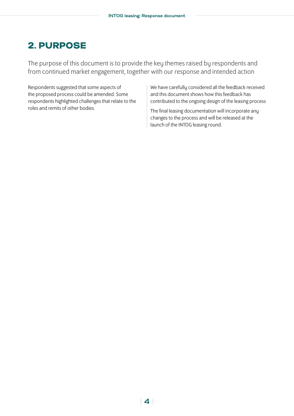# <span id="page-3-0"></span>2. PURPOSE

The purpose of this document is to provide the key themes raised by respondents and from continued market engagement, together with our response and intended action

Respondents suggested that some aspects of the proposed process could be amended. Some respondents highlighted challenges that relate to the roles and remits of other bodies.

We have carefully considered all the feedback received and this document shows how this feedback has contributed to the ongoing design of the leasing process

The final leasing documentation will incorporate any changes to the process and will be released at the launch of the INTOG leasing round.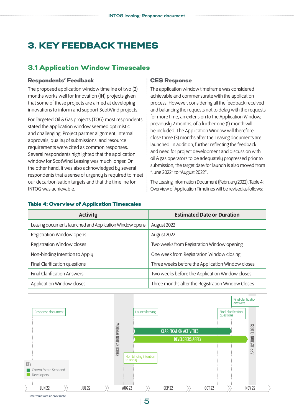# <span id="page-4-0"></span>3. KEY FEEDBACK THEMES

#### 3.1 Application Window Timescales

#### Respondents' Feedback

The proposed application window timeline of two (2) months works well for Innovation (IN) projects given that some of these projects are aimed at developing innovations to inform and support ScotWind projects.

For Targeted Oil & Gas projects (TOG) most respondents stated the application window seemed optimistic and challenging. Project partner alignment, internal approvals, quality of submissions, and resource requirements were cited as common responses. Several respondents highlighted that the application window for ScotWind Leasing was much longer. On the other hand, it was also acknowledged by several respondents that a sense of urgency is required to meet our decarbonisation targets and that the timeline for INTOG was achievable.

#### CES Response

The application window timeframe was considered achievable and commensurate with the application process. However, considering all the feedback received and balancing the requests not to delay with the requests for more time, an extension to the Application Window, previously 2 months, of a further one (1) month will be included. The Application Window will therefore close three (3) months after the Leasing documents are launched. In addition, further reflecting the feedback and need for project development and discussion with oil & gas operators to be adequately progressed prior to submission, the target date for launch is also moved from "June 2022" to "August 2022".

The Leasing Information Document (February 2022), Table 4: Overview of Application Timelines will be revised as follows:

| <b>Activity</b>                                         | <b>Estimated Date or Duration</b>                 |
|---------------------------------------------------------|---------------------------------------------------|
| Leasing documents launched and Application Window opens | August 2022                                       |
| Registration Window opens                               | August 2022                                       |
| Registration Window closes                              | Two weeks from Registration Window opening        |
| Non-binding Intention to Apply                          | One week from Registration Window closing         |
| Final Clarification questions                           | Three weeks before the Application Window closes  |
| <b>Final Clarification Answers</b>                      | Two weeks before the Application Window closes    |
| Application Window closes                               | Three months after the Registration Window Closes |



#### Table 4: Overview of Application Timescales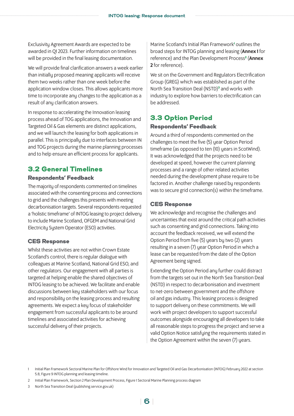Exclusivity Agreement Awards are expected to be awarded in Q1 2023. Further information on timelines will be provided in the final leasing documentation.

We will provide final clarification answers a week earlier than initially proposed meaning applicants will receive them two weeks rather than one week before the application window closes. This allows applicants more time to incorporate any changes to the application as a result of any clarification answers.

In response to accelerating the Innovation leasing process ahead of TOG applications, the Innovation and Targeted Oil & Gas elements are distinct applications, and we will launch the leasing for both applications in parallel. This is principally due to interfaces between IN and TOG projects during the marine planning processes and to help ensure an efficient process for applicants.

## 3.2 General Timelines

#### Respondents' Feedback

The majority of respondents commented on timelines associated with the consenting process and connections to grid and the challenges this presents with meeting decarbonisation targets. Several respondents requested a 'holistic timeframe' of INTOG leasing to project delivery to include Marine Scotland, OFGEM and National Grid Electricity System Operator (ESO) activities.

#### CES Response

Whilst these activities are not within Crown Estate Scotland's control, there is regular dialogue with colleagues at Marine Scotland, National Grid ESO, and other regulators. Our engagement with all parties is targeted at helping enable the shared objectives of INTOG leasing to be achieved. We facilitate and enable discussions between key stakeholders with our focus and responsibility on the leasing process and resulting agreements. We expect a key focus of stakeholder engagement from successful applicants to be around timelines and associated activities for achieving successful delivery of their projects.

Marine Scotland's Initial Plan Framework<sup>1</sup> outlines the broad steps for INTOG planning and leasing (Annex 1 for reference) and the Plan Development Process<sup>2</sup> (Annex 2 for reference).

We sit on the Government and Regulators Electrification Group (GREG) which was established as part of the North Sea Transition Deal (NSTD)**<sup>3</sup>** and works with industry to explore how barriers to electrification can be addressed.

## 3.3 Option Period

#### Respondents' Feedback

Around a third of respondents commented on the challenges to meet the five (5) year Option Period timeframe (as opposed to ten (10) years in ScotWind). It was acknowledged that the projects need to be developed at speed, however the current planning processes and a range of other related activities needed during the development phase require to be factored in. Another challenge raised by respondents was to secure grid connection(s) within the timeframe.

#### CES Response

We acknowledge and recognise the challenges and uncertainties that exist around the critical path activities such as consenting and grid connections. Taking into account the feedback received, we will extend the Option Period from five (5) years by two (2) years resulting in a seven (7) year Option Period in which a lease can be requested from the date of the Option Agreement being signed.

Extending the Option Period any further could distract from the targets set out in the North Sea Transition Deal (NSTD) in respect to decarbonisation and investment to net-zero between government and the offshore oil and gas industry. This leasing process is designed to support delivery on these commitments. We will work with project developers to support successful outcomes alongside encouraging all developers to take all reasonable steps to progress the project and serve a valid Option Notice satisfying the requirements stated in the Option Agreement within the seven (7) years.

<sup>1</sup> Initial Plan Framework Sectoral Marine Plan for Offshore Wind for Innovation and Targeted Oil and Gas Decarbonisation (INTOG) February 2022 at section 5.8, Figure 9 INTOG planning and leasing timeline.

<sup>2</sup> Initial Plan Framework, Section 2 Plan Development Process, Figure 1 Sectoral Marine Planning process diagram

<sup>3</sup> North Sea Transition Deal ([publishing.service.gov.uk\)](https://assets.publishing.service.gov.uk/government/uploads/system/uploads/attachment_data/file/972520/north-sea-transition-deal_A_FINAL.pdf)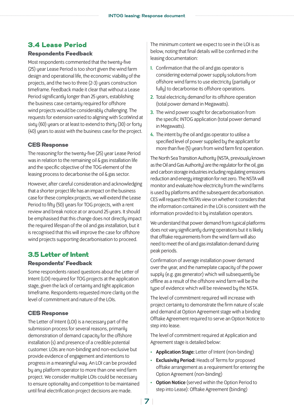### 3.4 Lease Period

#### Respondents Feedback

Most respondents commented that the twenty-five (25) year Lease Period is too short given the wind farm design and operational life, the economic viability of the projects, and the two to three (2-3) years construction timeframe. Feedback made it clear that without a Lease Period significantly longer than 25 years, establishing the business case certainty required for offshore wind projects would be considerably challenging. The requests for extension varied to aligning with ScotWind at sixty (60) years or at least to extend to thirty (30) or forty (40) years to assist with the business case for the project.

#### CES Response

The reasoning for the twenty-five (25) year Lease Period was in relation to the remaining oil & gas installation life and the specific objective of the TOG element of the leasing process to decarbonise the oil & gas sector.

However, after careful consideration and acknowledging that a shorter project life has an impact on the business case for these complex projects, we will extend the Lease Period to fifty (50) years for TOG projects, with a rent review and break notice at or around 25 years. It should be emphasised that this change does not directly impact the required lifespan of the oil and gas installation, but it is recognised that this will improve the case for offshore wind projects supporting decarbonisation to proceed.

#### 3.5 Letter of Intent

#### Respondents' Feedback

Some respondents raised questions about the Letter of Intent (LOI) required for TOG projects at the application stage, given the lack of certainty and tight application timeframe. Respondents requested more clarity on the level of commitment and nature of the LOIs.

#### CES Response

The Letter of Intent (LOI) is a necessary part of the submission process for several reasons, primarily demonstration of demand capacity for the offshore installation (s) and presence of a credible potential customer. LOIs are non-binding and non-exclusive but provide evidence of engagement and intentions to progress in a meaningful way. An LOI can be provided by any platform operator to more than one wind farm project. We consider multiple LOIs could be necessary to ensure optionality and competition to be maintained until final electrification project decisions are made.

The minimum content we expect to see in the LOI is as below, noting that final details will be confirmed in the leasing documentation:

- 1. Confirmation that the oil and gas operator is considering external power supply solutions from offshore wind farms to use electricity (partially or fully) to decarbonise its offshore operations.
- 2. Total electricity demand for its offshore operation (total power demand in Megawatts).
- 3. The wind power sought for decarbonisation from the specific INTOG application (total power demand in Megawatts).
- 4. The intent by the oil and gas operator to utilise a specified level of power supplied by the applicant for more than five (5) years from wind farm first operation.

The North Sea Transition Authority (NSTA, previously known as the Oil and Gas Authority) are the regulator for the oil, gas and carbon storage industries including regulating emissions reduction and energy integration for net zero. The NSTA will monitor and evaluate how electricity from the wind farms is used bu platforms and the subsequent decarbonisation. CES will request the NSTA's view on whether it considers that the information contained in the LOI is consistent with the information provided to it by installation operators.

We understand that power demand from typical platforms does not vary significantly during operations but it is likely that offtake requirements from the wind farm will also need to meet the oil and gas installation demand during peak periods.

Confirmation of average installation power demand over the year, and the nameplate capacity of the power supply (e.g. gas generator) which will subsequently be offline as a result of the offshore wind farm will be the type of evidence which will be reviewed by the NSTA.

The level of commitment required will increase with project certainty to demonstrate the firm nature of scale and demand at Option Agreement stage with a binding Offtake Agreement required to serve an Option Notice to step into lease.

The level of commitment required at Application and Agreement stage is detailed below:

- Application Stage: Letter of Intent (non-binding)
- Exclusivity Period: Heads of Terms for proposed offtake arrangement as a requirement for entering the Option Agreement (non-binding)
- Option Notice (served within the Option Period to step into Lease): Offtake Agreement (binding)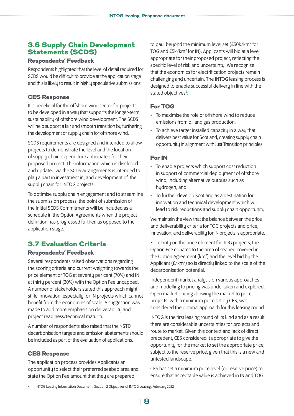## 3.6 Supply Chain Development Statements (SCDS)

#### Respondents' Feedback

Respondents highlighted that the level of detail required for SCDS would be difficult to provide at the application stage and this is likely to result in highly speculative submissions.

#### CES Response

It is beneficial for the offshore wind sector for projects to be developed in a way that supports the longer-term sustainability of offshore wind development. The SCDS will help support a fair and smooth transition by furthering the development of supply chain for offshore wind.

SCDS requirements are designed and intended to allow projects to demonstrate the level and the location of supply chain expenditure anticipated for their proposed project. The information which is disclosed and updated via the SCDS arrangements is intended to play a part in investment in, and development of, the supply chain for INTOG projects.

To optimise supply chain engagement and to streamline the submission process, the point of submission of the Initial SCDS Commitments will be included as a schedule in the Option Agreements when the project definition has progressed further, as opposed to the application stage.

## 3.7 Evaluation Criteria

#### Respondents' Feedback

Several respondents raised observations regarding the scoring criteria and current weighting towards the price element of TOG at seventy per cent (70%) and IN at thirty percent (30%) with the Option Fee uncapped. A number of stakeholders stated this approach might stifle innovation, especially for IN projects which cannot benefit from the economies of scale. A suggestion was made to add more emphasis on deliverability and project readiness/technical maturity.

A number of respondents also raised that the NSTD decarbonisation targets and emission abatements should be included as part of the evaluation of applications.

#### CES Response

The application process provides Applicants an opportunity to select their preferred seabed area and state the Option Fee amount that they are prepared

to pay, beyond the minimum level set (£50k/km² for TOG and £5k/km² for IN). Applicants will bid at a level appropriate for their proposed project, reflecting the specific level of risk and uncertainty. We recognise that the economics for electrification projects remain challenging and uncertain. The INTOG leasing process is designed to enable successful delivery in line with the stated objectives**<sup>4</sup>** :

#### For TOG

- To maximise the role of offshore wind to reduce emissions from oil and gas production.
- To achieve target installed capacity in a way that delivers best value for Scotland, creating supply chain opportunity in alignment with Just Transition principles.

#### For IN

- To enable projects which support cost reduction in support of commercial deployment of offshore wind; including alternative outputs such as hydrogen, and
- To further develop Scotland as a destination for innovation and technical development which will lead to risk reductions and supply chain opportunity.

We maintain the view that the balance between the price and deliverability criteria for TOG projects and price, innovation, and deliverability for IN projects is appropriate.

For clarity on the price element for TOG projects, the Option Fee equates to the area of seabed covered in the Option Agreement (km²) and the level bid by the Applicant  $(E/km^2)$  so is directly linked to the scale of the decarbonisation potential.

Independent market analysis on various approaches and modelling to pricing was undertaken and explored. Open market pricing allowing the market to price projects, with a minimum price set by CES, was considered the optimal approach for this leasing round.

INTOG is the first leasing round of its kind and as a result there are considerable uncertainties for projects and route to market. Given this context and lack of direct precedent, CES considered it appropriate to give the opportunity for the market to set the appropriate price, subject to the reserve price, given that this is a new and untested landscape.

CES has set a minimum price level (or reserve price) to ensure that acceptable value is achieved in IN and TOG

<sup>4</sup> INTOG Leasing Information Document, Section 2 Objectives of INTOG Leasing, February 2022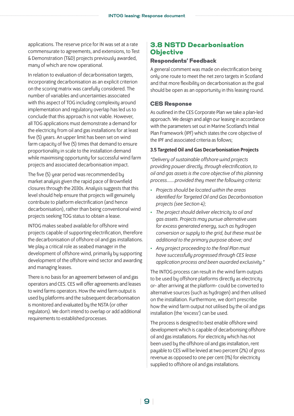applications. The reserve price for IN was set at a rate commensurate to agreements, and extensions, to Test & Demonstration (T&D) projects previously awarded, many of which are now operational.

In relation to evaluation of decarbonisation targets, incorporating decarbonisation as an explicit criterion on the scoring matrix was carefully considered. The number of variables and uncertainties associated with this aspect of TOG including complexity around implementation and regulatory overlap has led us to conclude that this approach is not viable. However, all TOG applications must demonstrate a demand for the electricity from oil and gas installations for at least five (5) years. An upper limit has been set on wind farm capacity of five (5) times that demand to ensure proportionality in scale to the installation demand while maximising opportunity for successful wind farm projects and associated decarbonisation impact.

The five (5) year period was recommended by market analysis given the rapid pace of Brownfield closures through the 2030s. Analysis suggests that this level should help ensure that projects will genuinely contribute to platform electrification (and hence decarbonisation), rather than being conventional wind projects seeking TOG status to obtain a lease.

INTOG makes seabed available for offshore wind projects capable of supporting electrification, therefore the decarbonisation of offshore oil and gas installations. We play a critical role as seabed manager in the development of offshore wind, primarily by supporting development of the offshore wind sector and awarding and managing leases.

There is no basis for an agreement between oil and gas operators and CES. CES will offer agreements and leases to wind farms operators. How the wind farm output is used by platforms and the subsequent decarbonisation is monitored and evaluated by the NSTA (or other regulators). We don't intend to overlap or add additional requirements to established processes.

## 3.8 NSTD Decarbonisation **Objective**

#### Respondents' Feedback

A general comment was made on electrification being only one route to meet the net zero targets in Scotland and that more flexibility on decarbonisation as the goal should be open as an opportunity in this leasing round.

#### CES Response

As outlined in the CES Corporate Plan we take a plan-led approach. We design and align our leasing in accordance with the parameters set out in Marine Scotland's Initial Plan Framework (IPF) which states the core objective of the IPF and associated criteria as follows;

#### 3.5 Targeted Oil and Gas Decarbonisation Projects

*"Delivery of sustainable offshore wind projects providing power directly, through electrification, to oil and gas assets is the core objective of this planning process…….provided they meet the following criteria:*

- *Projects should be located within the areas identified for Targeted Oil and Gas Decarbonisation projects (see Section 4);*
- *The project should deliver electricity to oil and gas assets. Projects may pursue alternative uses for excess generated energy, such as hydrogen conversion or supply to the grid, but these must be additional to the primary purpose above; and*
- *Any project proceeding to the final Plan must have successfully progressed through CES lease application process and been awarded exclusivity."*

The INTOG process can result in the wind farm outputs to be used by offshore platforms directly as electricity or- after arriving at the platform- could be converted to alternative sources (such as hydrogen) and then utilised on the installation. Furthermore, we don't prescribe how the wind farm output not utilised by the oil and gas installation (the 'excess') can be used.

The process is designed to best enable offshore wind development which is capable of decarbonising offshore oil and gas installations. For electricity which has not been used by the offshore oil and gas installation, rent payable to CES will be levied at two percent (2%) of gross revenue as opposed to one per cent (1%) for electricity supplied to offshore oil and gas installations.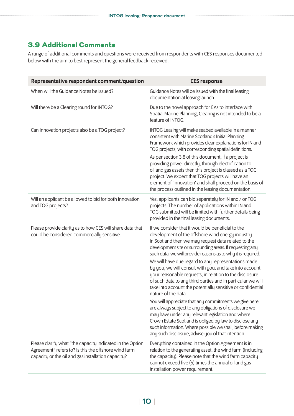## 3.9 Additional Comments

A range of additional comments and questions were received from respondents with CES responses documented below with the aim to best represent the general feedback received.

| Representative respondent comment/question                                                                                                                              | <b>CES response</b>                                                                                                                                                                                                                                                                                                                                                                                                                                                                                                                                                                                                                                                                                                                                                                                                                                                                                                                                                             |
|-------------------------------------------------------------------------------------------------------------------------------------------------------------------------|---------------------------------------------------------------------------------------------------------------------------------------------------------------------------------------------------------------------------------------------------------------------------------------------------------------------------------------------------------------------------------------------------------------------------------------------------------------------------------------------------------------------------------------------------------------------------------------------------------------------------------------------------------------------------------------------------------------------------------------------------------------------------------------------------------------------------------------------------------------------------------------------------------------------------------------------------------------------------------|
| When will the Guidance Notes be issued?                                                                                                                                 | Guidance Notes will be issued with the final leasing<br>documentation at leasing launch.                                                                                                                                                                                                                                                                                                                                                                                                                                                                                                                                                                                                                                                                                                                                                                                                                                                                                        |
| Will there be a Clearing round for INTOG?                                                                                                                               | Due to the novel approach for EAs to interface with<br>Spatial Marine Planning, Clearing is not intended to be a<br>feature of INTOG.                                                                                                                                                                                                                                                                                                                                                                                                                                                                                                                                                                                                                                                                                                                                                                                                                                           |
| Can Innovation projects also be a TOG project?                                                                                                                          | INTOG Leasing will make seabed available in a manner<br>consistent with Marine Scotland's Initial Planning<br>Framework which provides clear explanations for IN and<br>TOG projects, with corresponding spatial definitions.<br>As per section 3.8 of this document, if a project is<br>providing power directly, through electrification to<br>oil and gas assets then this project is classed as a TOG<br>project. We expect that TOG projects will have an<br>element of 'innovation' and shall proceed on the basis of<br>the process outlined in the leasing documentation.                                                                                                                                                                                                                                                                                                                                                                                               |
| Will an applicant be allowed to bid for both Innovation<br>and TOG projects?                                                                                            | Yes, applicants can bid separately for IN and / or TOG<br>projects. The number of applications within IN and<br>TOG submitted will be limited with further details being<br>provided in the final leasing documents.                                                                                                                                                                                                                                                                                                                                                                                                                                                                                                                                                                                                                                                                                                                                                            |
| Please provide clarity as to how CES will share data that<br>could be considered commercially sensitive.                                                                | If we consider that it would be beneficial to the<br>development of the offshore wind energy industry<br>in Scotland then we may request data related to the<br>development site or surrounding areas. If requesting any<br>such data, we will provide reasons as to why it is required.<br>We will have due regard to any representations made<br>by you, we will consult with you, and take into account<br>your reasonable requests, in relation to the disclosure<br>of such data to any third parties and in particular we will<br>take into account the potentially sensitive or confidential<br>nature of the data.<br>You will appreciate that any commitments we give here<br>are always subject to any obligations of disclosure we<br>may have under any relevant legislation and where<br>Crown Estate Scotland is obliged by law to disclose any<br>such information. Where possible we shall, before making<br>any such disclosure, advise you of that intention. |
| Please clarify what "the capacity indicated in the Option<br>Agreement" refers to? Is this the offshore wind farm<br>capacity or the oil and gas installation capacity? | Everything contained in the Option Agreement is in<br>relation to the generating asset, the wind farm (including<br>the capacity). Please note that the wind farm capacity<br>cannot exceed five (5) times the annual oil and gas<br>installation power requirement.                                                                                                                                                                                                                                                                                                                                                                                                                                                                                                                                                                                                                                                                                                            |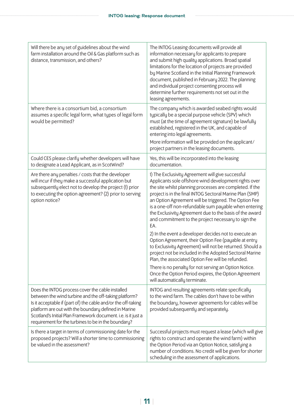| Will there be any set of guidelines about the wind<br>farm installation around the Oil & Gas platform such as<br>distance, transmission, and others?                                                                                                                                                                                                       | The INTOG Leasing documents will provide all<br>information necessary for applicants to prepare<br>and submit high quality applications. Broad spatial<br>limitations for the location of projects are provided<br>by Marine Scotland in the Initial Planning Framework<br>document, published in February 2022. The planning<br>and individual project consenting process will<br>determine further requirements not set out in the<br>leasing agreements.                                                                                                                                                                                                                                                                                                                                                                                                                                                                 |
|------------------------------------------------------------------------------------------------------------------------------------------------------------------------------------------------------------------------------------------------------------------------------------------------------------------------------------------------------------|-----------------------------------------------------------------------------------------------------------------------------------------------------------------------------------------------------------------------------------------------------------------------------------------------------------------------------------------------------------------------------------------------------------------------------------------------------------------------------------------------------------------------------------------------------------------------------------------------------------------------------------------------------------------------------------------------------------------------------------------------------------------------------------------------------------------------------------------------------------------------------------------------------------------------------|
| Where there is a consortium bid, a consortium<br>assumes a specific legal form, what types of legal form<br>would be permitted?                                                                                                                                                                                                                            | The company which is awarded seabed rights would<br>typically be a special purpose vehicle (SPV) which<br>must (at the time of agreement signature) be lawfully<br>established, registered in the UK, and capable of<br>entering into legal agreements.<br>More information will be provided on the applicant/<br>project partners in the leasing documents.                                                                                                                                                                                                                                                                                                                                                                                                                                                                                                                                                                |
| Could CES please clarify whether developers will have<br>to designate a Lead Applicant, as in ScotWind?                                                                                                                                                                                                                                                    | Yes, this will be incorporated into the leasing<br>documentation.                                                                                                                                                                                                                                                                                                                                                                                                                                                                                                                                                                                                                                                                                                                                                                                                                                                           |
| Are there any penalties / costs that the developer<br>will incur if they make a successful application but<br>subsequently elect not to develop the project (1) prior<br>to executing the option agreement? (2) prior to serving<br>option notice?                                                                                                         | 1) The Exclusivity Agreement will give successful<br>Applicants sole offshore wind development rights over<br>the site whilst planning processes are completed. If the<br>project is in the final INTOG Sectoral Marine Plan (SMP)<br>an Option Agreement will be triggered. The Option Fee<br>is a one-off non-refundable sum payable when entering<br>the Exclusivity Agreement due to the basis of the award<br>and commitment to the project necessary to sign the<br>EA.<br>2) In the event a developer decides not to execute an<br>Option Agreement, their Option Fee (payable at entry<br>to Exclusivity Agreement) will not be returned. Should a<br>project not be included in the Adopted Sectoral Marine<br>Plan, the associated Option Fee will be refunded.<br>There is no penalty for not serving an Option Notice.<br>Once the Option Period expires, the Option Agreement<br>will automatically terminate. |
| Does the INTOG process cover the cable installed<br>between the wind turbine and the off-taking platform?<br>Is it acceptable if (part of) the cable and/or the off-taking<br>platform are out with the boundary defined in Marine<br>Scotland's Initial Plan Framework document. i.e. is it just a<br>requirement for the turbines to be in the boundary? | INTOG and resulting agreements relate specifically<br>to the wind farm. The cables don't have to be within<br>the boundary, however agreements for cables will be<br>provided subsequently and separately.                                                                                                                                                                                                                                                                                                                                                                                                                                                                                                                                                                                                                                                                                                                  |
| Is there a target in terms of commissioning date for the<br>proposed projects? Will a shorter time to commissioning<br>be valued in the assessment?                                                                                                                                                                                                        | Successful projects must request a lease (which will give<br>rights to construct and operate the wind farm) within<br>the Option Period via an Option Notice, satisfying a<br>number of conditions. No credit will be given for shorter<br>scheduling in the assessment of applications.                                                                                                                                                                                                                                                                                                                                                                                                                                                                                                                                                                                                                                    |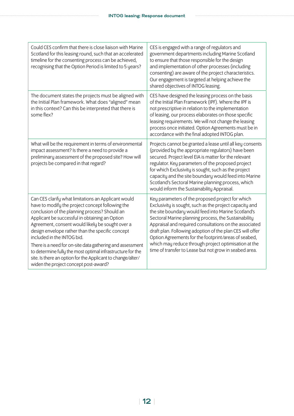| Could CES confirm that there is close liaison with Marine<br>Scotland for this leasing round, such that an accelerated<br>timeline for the consenting process can be achieved,<br>recognising that the Option Period is limited to 5 years?                                                                                                                                                                                                                                                                                                                                         | CES is engaged with a range of regulators and<br>government departments including Marine Scotland<br>to ensure that those responsible for the design<br>and implementation of other processes (including<br>consenting) are aware of the project characteristics.<br>Our engagement is targeted at helping achieve the<br>shared objectives of INTOG leasing.                                                                                                                                                               |
|-------------------------------------------------------------------------------------------------------------------------------------------------------------------------------------------------------------------------------------------------------------------------------------------------------------------------------------------------------------------------------------------------------------------------------------------------------------------------------------------------------------------------------------------------------------------------------------|-----------------------------------------------------------------------------------------------------------------------------------------------------------------------------------------------------------------------------------------------------------------------------------------------------------------------------------------------------------------------------------------------------------------------------------------------------------------------------------------------------------------------------|
| The document states the projects must be aligned with<br>the Initial Plan framework. What does "aligned" mean<br>in this context? Can this be interpreted that there is<br>some flex?                                                                                                                                                                                                                                                                                                                                                                                               | CES have designed the leasing process on the basis<br>of the Initial Plan Framework (IPF). Where the IPF is<br>not prescriptive in relation to the implementation<br>of leasing, our process elaborates on those specific<br>leasing requirements. We will not change the leasing<br>process once initiated. Option Agreements must be in<br>accordance with the final adopted INTOG plan.                                                                                                                                  |
| What will be the requirement in terms of environmental<br>impact assessment? Is there a need to provide a<br>preliminary assessment of the proposed site? How will<br>projects be compared in that regard?                                                                                                                                                                                                                                                                                                                                                                          | Projects cannot be granted a lease until all key consents<br>(provided by the appropriate regulators) have been<br>secured. Project level EIA is matter for the relevant<br>regulator. Key parameters of the proposed project<br>for which Exclusivity is sought, such as the project<br>capacity and the site boundary would feed into Marine<br>Scotland's Sectoral Marine planning process, which<br>would inform the Sustainability Appraisal.                                                                          |
| Can CES clarify what limitations an Applicant would<br>have to modify the project concept following the<br>conclusion of the planning process? Should an<br>Applicant be successful in obtaining an Option<br>Agreement, consent would likely be sought over a<br>design envelope rather than the specific concept<br>included in the INTOG bid.<br>There is a need for on-site data gathering and assessment<br>to determine fully the most optimal infrastructure for the<br>site. Is there an option for the Applicant to change/alter/<br>widen the project concept post-award? | Key parameters of the proposed project for which<br>Exclusivity is sought, such as the project capacity and<br>the site boundary would feed into Marine Scotland's<br>Sectoral Marine planning process, the Sustainability<br>Appraisal and required consultations on the associated<br>draft plan. Following adoption of the plan CES will offer<br>Option Agreements for the footprint/areas of seabed,<br>which may reduce through project optimisation at the<br>time of transfer to Lease but not grow in seabed area. |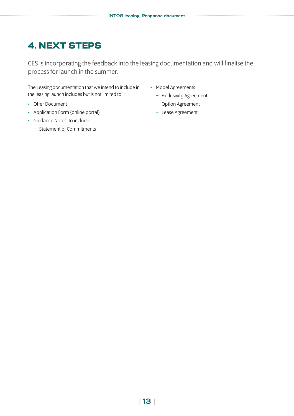# <span id="page-12-0"></span>4. NEXT STEPS

CES is incorporating the feedback into the leasing documentation and will finalise the process for launch in the summer.

The Leasing documentation that we intend to include in the leasing launch includes but is not limited to:

- Offer Document
- Application Form (online portal)
- Guidance Notes, to include:
	- − Statement of Commitments
- Model Agreements
	- − Exclusivity Agreement
	- − Option Agreement
	- − Lease Agreement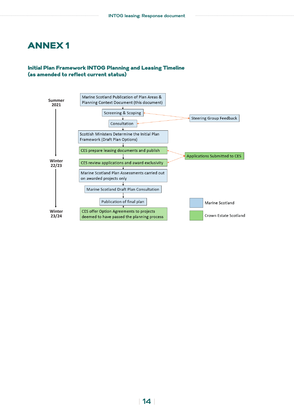## <span id="page-13-0"></span>ANNEX 1

#### Initial Plan Framework INTOG Planning and Leasing Timeline (as amended to reflect current status)

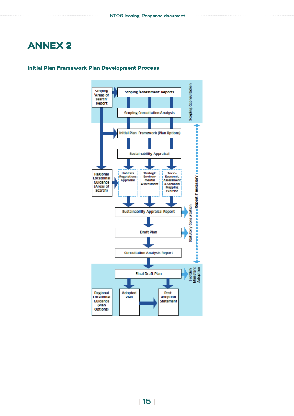# <span id="page-14-0"></span>ANNEX 2



#### Initial Plan Framework Plan Development Process